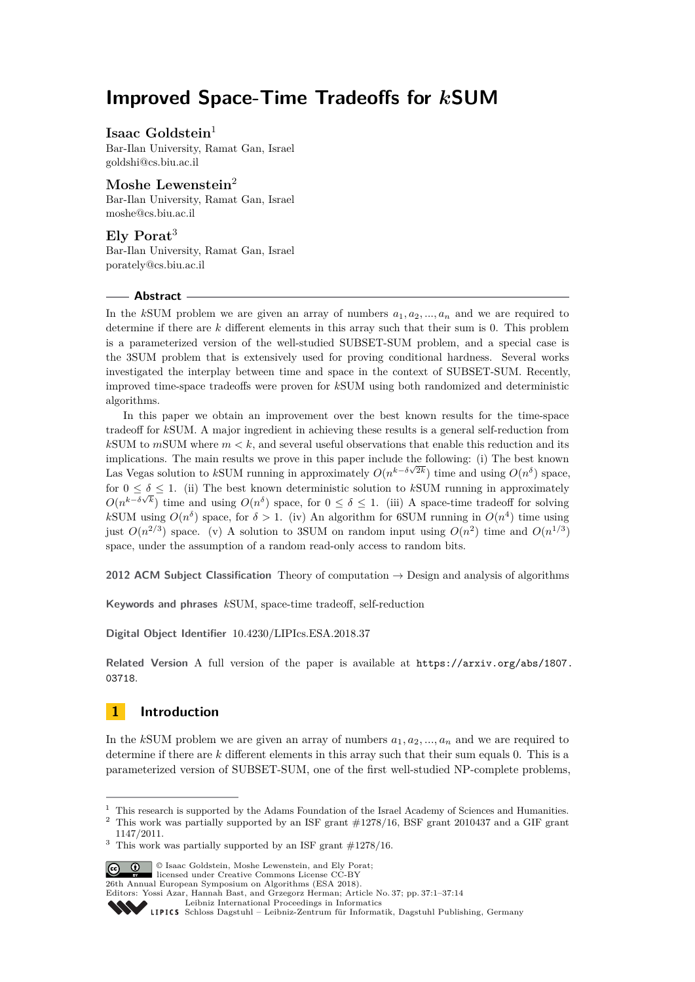# **Improved Space-Time Tradeoffs for** *k***SUM**

# **Isaac Goldstein**<sup>1</sup>

Bar-Ilan University, Ramat Gan, Israel [goldshi@cs.biu.ac.il](mailto:goldshi@cs.biu.ac.il)

# **Moshe Lewenstein**<sup>2</sup>

Bar-Ilan University, Ramat Gan, Israel [moshe@cs.biu.ac.il](mailto:moshe@cs.biu.ac.il)

# **Ely Porat**<sup>3</sup>

Bar-Ilan University, Ramat Gan, Israel [porately@cs.biu.ac.il](mailto:porately@cs.biu.ac.il)

### **Abstract**

In the *kSUM* problem we are given an array of numbers  $a_1, a_2, \ldots, a_n$  and we are required to determine if there are *k* different elements in this array such that their sum is 0. This problem is a parameterized version of the well-studied SUBSET-SUM problem, and a special case is the 3SUM problem that is extensively used for proving conditional hardness. Several works investigated the interplay between time and space in the context of SUBSET-SUM. Recently, improved time-space tradeoffs were proven for *k*SUM using both randomized and deterministic algorithms.

In this paper we obtain an improvement over the best known results for the time-space tradeoff for *k*SUM. A major ingredient in achieving these results is a general self-reduction from  $k$ SUM to  $m$ SUM where  $m < k$ , and several useful observations that enable this reduction and its implications. The main results we prove in this paper include the following: (i) The best known √ Las Vegas solution to *k*SUM running in approximately  $O(n^{k-\delta\sqrt{2k}})$  time and using  $O(n^{\delta})$  space, for  $0 \leq \delta \leq 1$ . (ii) The best known deterministic solution to kSUM running in approximately  $O(n^{k-\delta\sqrt{k}})$  time and using  $O(n^{\delta})$  space, for  $0 \leq \delta \leq 1$ . (iii) A space-time tradeoff for solving kSUM using  $O(n^{\delta})$  space, for  $\delta > 1$ . (iv) An algorithm for 6SUM running in  $O(n^4)$  time using just  $O(n^{2/3})$  space. (v) A solution to 3SUM on random input using  $O(n^2)$  time and  $O(n^{1/3})$ space, under the assumption of a random read-only access to random bits.

**2012 ACM Subject Classification** Theory of computation → Design and analysis of algorithms

**Keywords and phrases** *k*SUM, space-time tradeoff, self-reduction

**Digital Object Identifier** [10.4230/LIPIcs.ESA.2018.37](http://dx.doi.org/10.4230/LIPIcs.ESA.2018.37)

**Related Version** A full version of the paper is available at [https://arxiv.org/abs/1807.](https://arxiv.org/abs/1807.03718) [03718](https://arxiv.org/abs/1807.03718).

# **1 Introduction**

In the *k*SUM problem we are given an array of numbers *a*1*, a*2*, ..., a<sup>n</sup>* and we are required to determine if there are *k* different elements in this array such that their sum equals 0. This is a parameterized version of SUBSET-SUM, one of the first well-studied NP-complete problems,

 $3$  This work was partially supported by an ISF grant  $\#1278/16$ .



© Isaac Goldstein, Moshe Lewenstein, and Ely Porat; licensed under Creative Commons License CC-BY

26th Annual European Symposium on Algorithms (ESA 2018).

Editors: Yossi Azar, Hannah Bast, and Grzegorz Herman; Article No. 37; pp. 37:1–37[:14](#page-13-0)

 $^{\rm 1}$  This research is supported by the Adams Foundation of the Israel Academy of Sciences and Humanities. <sup>2</sup> This work was partially supported by an ISF grant  $\#1278/16$ , BSF grant 2010437 and a GIF grant 1147/2011.

[Leibniz International Proceedings in Informatics](http://www.dagstuhl.de/lipics/)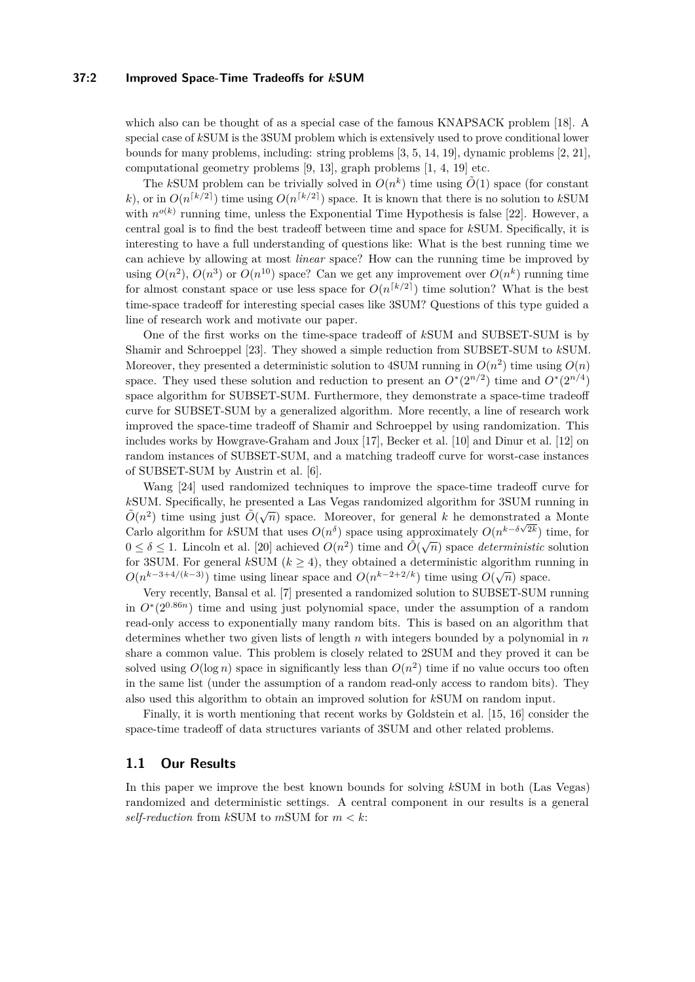### **37:2 Improved Space-Time Tradeoffs for** *k***SUM**

which also can be thought of as a special case of the famous KNAPSACK problem [\[18\]](#page-13-1). A special case of *k*SUM is the 3SUM problem which is extensively used to prove conditional lower bounds for many problems, including: string problems [\[3,](#page-12-0) [5,](#page-12-1) [14,](#page-12-2) [19\]](#page-13-2), dynamic problems [\[2,](#page-12-3) [21\]](#page-13-3), computational geometry problems [\[9,](#page-12-4) [13\]](#page-12-5), graph problems [\[1,](#page-12-6) [4,](#page-12-7) [19\]](#page-13-2) etc.

The *k*SUM problem can be trivially solved in  $O(n^k)$  time using  $\tilde{O}(1)$  space (for constant *k*), or in  $O(n^{\lceil k/2 \rceil})$  time using  $O(n^{\lceil k/2 \rceil})$  space. It is known that there is no solution to *kSUM* with  $n^{o(k)}$  running time, unless the Exponential Time Hypothesis is false [\[22\]](#page-13-4). However, a central goal is to find the best tradeoff between time and space for *k*SUM. Specifically, it is interesting to have a full understanding of questions like: What is the best running time we can achieve by allowing at most *linear* space? How can the running time be improved by using  $O(n^2)$ ,  $O(n^3)$  or  $O(n^{10})$  space? Can we get any improvement over  $O(n^k)$  running time for almost constant space or use less space for  $O(n^{\lceil k/2 \rceil})$  time solution? What is the best time-space tradeoff for interesting special cases like 3SUM? Questions of this type guided a line of research work and motivate our paper.

One of the first works on the time-space tradeoff of *k*SUM and SUBSET-SUM is by Shamir and Schroeppel [\[23\]](#page-13-5). They showed a simple reduction from SUBSET-SUM to *k*SUM. Moreover, they presented a deterministic solution to 4SUM running in  $O(n^2)$  time using  $O(n)$ space. They used these solution and reduction to present an  $O^*(2^{n/2})$  time and  $O^*(2^{n/4})$ space algorithm for SUBSET-SUM. Furthermore, they demonstrate a space-time tradeoff curve for SUBSET-SUM by a generalized algorithm. More recently, a line of research work improved the space-time tradeoff of Shamir and Schroeppel by using randomization. This includes works by Howgrave-Graham and Joux [\[17\]](#page-12-8), Becker et al. [\[10\]](#page-12-9) and Dinur et al. [\[12\]](#page-12-10) on random instances of SUBSET-SUM, and a matching tradeoff curve for worst-case instances of SUBSET-SUM by Austrin et al. [\[6\]](#page-12-11).

Wang [\[24\]](#page-13-6) used randomized techniques to improve the space-time tradeoff curve for *kSUM.* Specifically, he presented a Las Vegas randomized algorithm for 3SUM running in  $\tilde{O}(n^2)$  time using just  $\tilde{O}(\sqrt{n})$  space. Moreover, for general *k* he demonstrated a Monte Carlo algorithm for *kSUM* that uses  $O(n^{\delta})$  space using approximately  $O(n^{k-\delta\sqrt{2k}})$  time, for  $0 \leq \delta \leq 1$ . Lincoln et al. [\[20\]](#page-13-7) achieved  $O(n^2)$  time and  $\tilde{O}(\sqrt{n})$  space *deterministic* solution for 3SUM. For general  $k$ SUM ( $k \geq 4$ ), they obtained a deterministic algorithm running in  $O(n^{k-3+4/(k-3)})$  time using linear space and  $O(n^{k-2+2/k})$  time using  $O(\sqrt{n})$  space.

Very recently, Bansal et al. [\[7\]](#page-12-12) presented a randomized solution to SUBSET-SUM running in  $O<sup>*</sup>(2<sup>0.86n</sup>)$  time and using just polynomial space, under the assumption of a random read-only access to exponentially many random bits. This is based on an algorithm that determines whether two given lists of length *n* with integers bounded by a polynomial in *n* share a common value. This problem is closely related to 2SUM and they proved it can be solved using  $O(\log n)$  space in significantly less than  $O(n^2)$  time if no value occurs too often in the same list (under the assumption of a random read-only access to random bits). They also used this algorithm to obtain an improved solution for *k*SUM on random input.

Finally, it is worth mentioning that recent works by Goldstein et al. [\[15,](#page-12-13) [16\]](#page-12-14) consider the space-time tradeoff of data structures variants of 3SUM and other related problems.

### **1.1 Our Results**

In this paper we improve the best known bounds for solving *k*SUM in both (Las Vegas) randomized and deterministic settings. A central component in our results is a general *self-reduction* from  $k$ SUM to  $m$ SUM for  $m < k$ :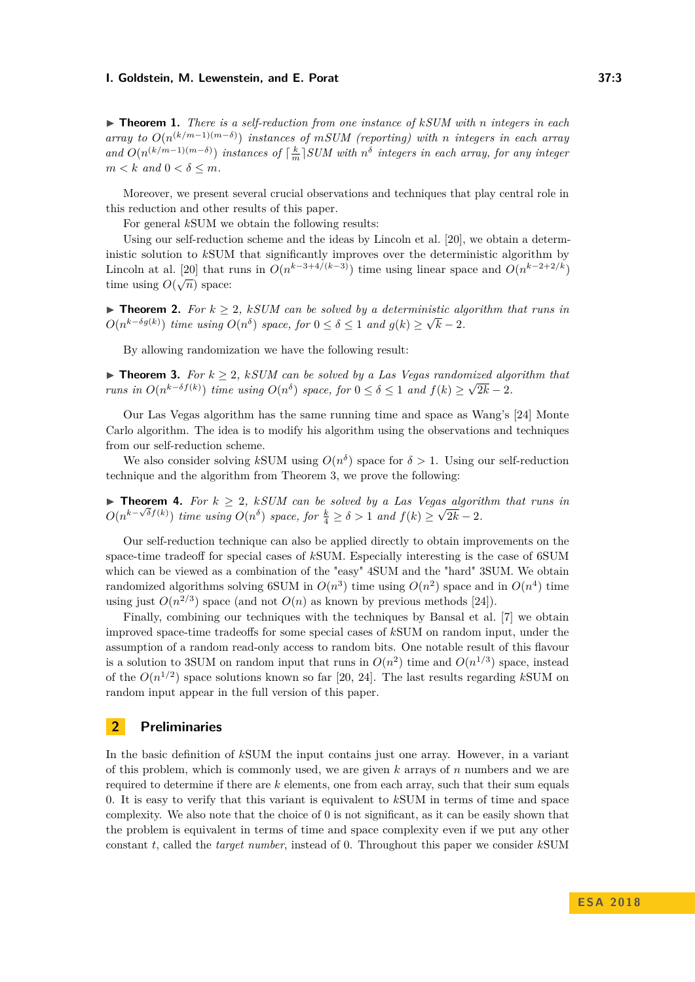<span id="page-2-2"></span>I **Theorem 1.** *There is a self-reduction from one instance of kSUM with n integers in each array to O*(*n* (*k/m*−1)(*m*−*δ*) ) *instances of mSUM (reporting) with n integers in each array*  $and$   $O(n^{(k/m-1)(m-\delta)})$  *instances of*  $\lceil \frac{k}{m} \rceil$  *SUM with*  $n^{\delta}$  *integers in each array, for any integer*  $m < k$  *and*  $0 < \delta \le m$ *.* 

Moreover, we present several crucial observations and techniques that play central role in this reduction and other results of this paper.

For general *k*SUM we obtain the following results:

Using our self-reduction scheme and the ideas by Lincoln et al. [\[20\]](#page-13-7), we obtain a deterministic solution to *k*SUM that significantly improves over the deterministic algorithm by Lincoln at al. [\[20\]](#page-13-7) that runs in  $O(n^{k-3+4/(k-3)})$  time using linear space and  $O(n^{k-2+2/k})$ time using  $O(\sqrt{n})$  space:

**► Theorem 2.** *For*  $k \geq 2$ , *kSUM* can be solved by a deterministic algorithm that runs in  $O(n^{k-\delta g(k)})$  *time using*  $O(n^{\delta})$  *space, for*  $0 \leq \delta \leq 1$  *and*  $g(k) \geq \sqrt{k} - 2$ *.* 

By allowing randomization we have the following result:

<span id="page-2-0"></span>► **Theorem 3.** *For*  $k \geq 2$ , *kSUM* can be solved by a Las Vegas randomized algorithm that *runs in*  $O(n^{k-\delta f(k)})$  *time using*  $O(n^{\delta})$  *space, for*  $0 \leq \delta \leq 1$  *and*  $f(k) \geq \sqrt{2k} - 2$ *.* 

Our Las Vegas algorithm has the same running time and space as Wang's [\[24\]](#page-13-6) Monte Carlo algorithm. The idea is to modify his algorithm using the observations and techniques from our self-reduction scheme.

We also consider solving kSUM using  $O(n^{\delta})$  space for  $\delta > 1$ . Using our self-reduction technique and the algorithm from Theorem [3,](#page-2-0) we prove the following:

**► Theorem 4.** *For*  $k \geq 2$ , *kSUM* can be solved by a Las Vegas algorithm that runs in  $O(n^{k-\sqrt{\delta}f(k)})$  *time using*  $O(n^{\delta})$  *space, for*  $\frac{k}{4} \ge \delta > 1$  *and*  $f(k) \ge \sqrt{2k} - 2$ *.* 

Our self-reduction technique can also be applied directly to obtain improvements on the space-time tradeoff for special cases of *k*SUM. Especially interesting is the case of 6SUM which can be viewed as a combination of the "easy" 4SUM and the "hard" 3SUM. We obtain randomized algorithms solving 6SUM in  $O(n^3)$  time using  $O(n^2)$  space and in  $O(n^4)$  time using just  $O(n^{2/3})$  space (and not  $O(n)$  as known by previous methods [\[24\]](#page-13-6)).

Finally, combining our techniques with the techniques by Bansal et al. [\[7\]](#page-12-12) we obtain improved space-time tradeoffs for some special cases of *k*SUM on random input, under the assumption of a random read-only access to random bits. One notable result of this flavour is a solution to 3SUM on random input that runs in  $O(n^2)$  time and  $O(n^{1/3})$  space, instead of the  $O(n^{1/2})$  space solutions known so far [\[20,](#page-13-7) [24\]](#page-13-6). The last results regarding *kSUM* on random input appear in the full version of this paper.

## <span id="page-2-1"></span>**2 Preliminaries**

In the basic definition of *k*SUM the input contains just one array. However, in a variant of this problem, which is commonly used, we are given *k* arrays of *n* numbers and we are required to determine if there are *k* elements, one from each array, such that their sum equals 0. It is easy to verify that this variant is equivalent to *k*SUM in terms of time and space complexity. We also note that the choice of 0 is not significant, as it can be easily shown that the problem is equivalent in terms of time and space complexity even if we put any other constant *t*, called the *target number*, instead of 0. Throughout this paper we consider *k*SUM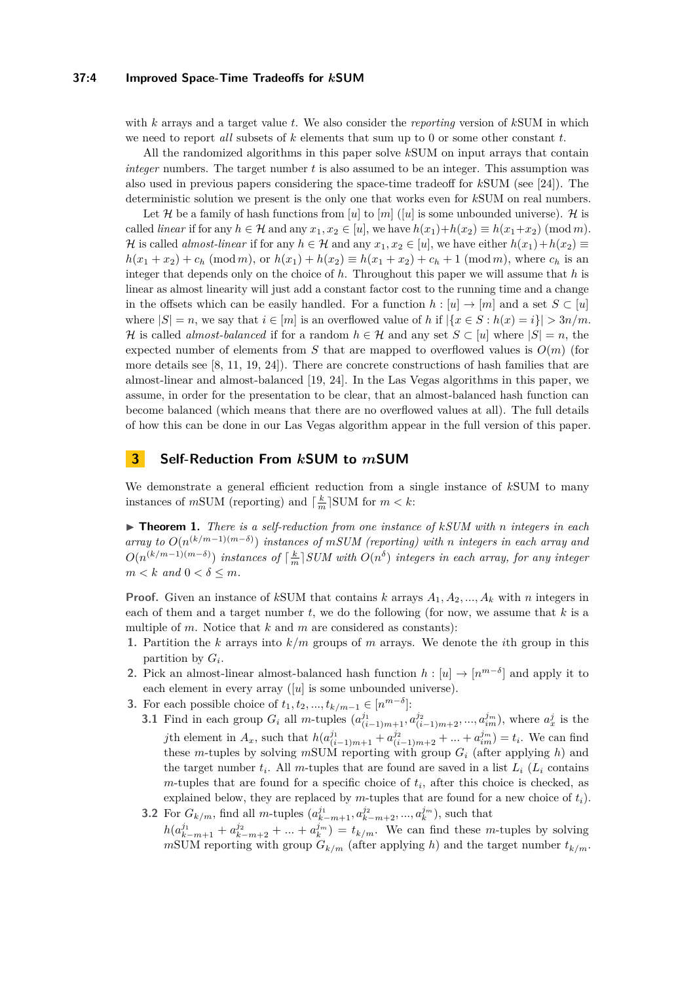### **37:4 Improved Space-Time Tradeoffs for** *k***SUM**

with *k* arrays and a target value *t*. We also consider the *reporting* version of *k*SUM in which we need to report *all* subsets of *k* elements that sum up to 0 or some other constant *t*.

All the randomized algorithms in this paper solve *k*SUM on input arrays that contain *integer* numbers. The target number *t* is also assumed to be an integer. This assumption was also used in previous papers considering the space-time tradeoff for *k*SUM (see [\[24\]](#page-13-6)). The deterministic solution we present is the only one that works even for *k*SUM on real numbers.

Let  $\mathcal H$  be a family of hash functions from [*u*] to [*m*] ([*u*] is some unbounded universe).  $\mathcal H$  is called *linear* if for any  $h \in \mathcal{H}$  and any  $x_1, x_2 \in [u]$ , we have  $h(x_1) + h(x_2) \equiv h(x_1 + x_2) \pmod{m}$ . H is called *almost-linear* if for any  $h \in \mathcal{H}$  and any  $x_1, x_2 \in [u]$ , we have either  $h(x_1) + h(x_2) \equiv$  $h(x_1 + x_2) + c_h \pmod{m}$ , or  $h(x_1) + h(x_2) \equiv h(x_1 + x_2) + c_h + 1 \pmod{m}$ , where  $c_h$  is an integer that depends only on the choice of *h*. Throughout this paper we will assume that *h* is linear as almost linearity will just add a constant factor cost to the running time and a change in the offsets which can be easily handled. For a function  $h : [u] \to [m]$  and a set  $S \subset [u]$ where  $|S| = n$ , we say that  $i \in [m]$  is an overflowed value of h if  $|\{x \in S : h(x) = i\}| > 3n/m$ . H is called *almost-balanced* if for a random  $h \in \mathcal{H}$  and any set  $S \subset [u]$  where  $|S| = n$ , the expected number of elements from *S* that are mapped to overflowed values is  $O(m)$  (for more details see [\[8,](#page-12-15) [11,](#page-12-16) [19,](#page-13-2) [24\]](#page-13-6)). There are concrete constructions of hash families that are almost-linear and almost-balanced [\[19,](#page-13-2) [24\]](#page-13-6). In the Las Vegas algorithms in this paper, we assume, in order for the presentation to be clear, that an almost-balanced hash function can become balanced (which means that there are no overflowed values at all). The full details of how this can be done in our Las Vegas algorithm appear in the full version of this paper.

# <span id="page-3-0"></span>**3 Self-Reduction From** *k***SUM to** *m***SUM**

We demonstrate a general efficient reduction from a single instance of *k*SUM to many instances of  $m$ SUM (reporting) and  $\lceil \frac{k}{m} \rceil$ SUM for  $m < k$ :

I **Theorem 1.** *There is a self-reduction from one instance of kSUM with n integers in each*  $array to O(n^{(k/m-1)(m-\delta)})$  *instances of mSUM (reporting) with n integers in each array and*  $O(n^{(k/m-1)(m-\delta)})$  *instances of*  $\lceil \frac{k}{m} \rceil$ *SUM with*  $O(n^{\delta})$  *integers in each array, for any integer*  $m < k$  *and*  $0 < \delta \leq m$ *.* 

**Proof.** Given an instance of *kSUM* that contains *k* arrays  $A_1, A_2, ..., A_k$  with *n* integers in each of them and a target number *t*, we do the following (for now, we assume that *k* is a multiple of *m*. Notice that *k* and *m* are considered as constants):

- **1.** Partition the *k* arrays into *k/m* groups of *m* arrays. We denote the *i*th group in this partition by  $G_i$ .
- **2.** Pick an almost-linear almost-balanced hash function  $h: [u] \to [n^{m-\delta}]$  and apply it to each element in every array ([*u*] is some unbounded universe).
- **3.** For each possible choice of  $t_1, t_2, ..., t_{k/m-1}$  ∈  $[n^{m-δ}]$ :
	- **3.1** Find in each group  $G_i$  all m-tuples  $(a_{(i-1)m+1}^{j_1}, a_{(i-1)m+2}^{j_2},...,a_{im}^{j_m}),$  where  $a_x^j$  is the *j*th element in  $A_x$ , such that  $h(a_{(i-1)m+1}^{j_1} + a_{(i-1)m+2}^{j_2} + ... + a_{im}^{j_m}) = t_i$ . We can find these *m*-tuples by solving *m*SUM reporting with group *G<sup>i</sup>* (after applying *h*) and the target number  $t_i$ . All *m*-tuples that are found are saved in a list  $L_i$  ( $L_i$  contains  $m$ -tuples that are found for a specific choice of  $t_i$ , after this choice is checked, as explained below, they are replaced by *m*-tuples that are found for a new choice of *ti*).
	- **3.2** For  $G_{k/m}$ , find all *m*-tuples  $(a_{k-m+1}^{j_1}, a_{k-m+2}^{j_2},...,a_k^{j_m})$ , such that  $h(a_{k-m+1}^{j_1} + a_{k-m+2}^{j_2} + ... + a_k^{j_m}) = t_{k/m}$ . We can find these *m*-tuples by solving *m*SUM reporting with group  $G_{k/m}$  (after applying *h*) and the target number  $t_{k/m}$ .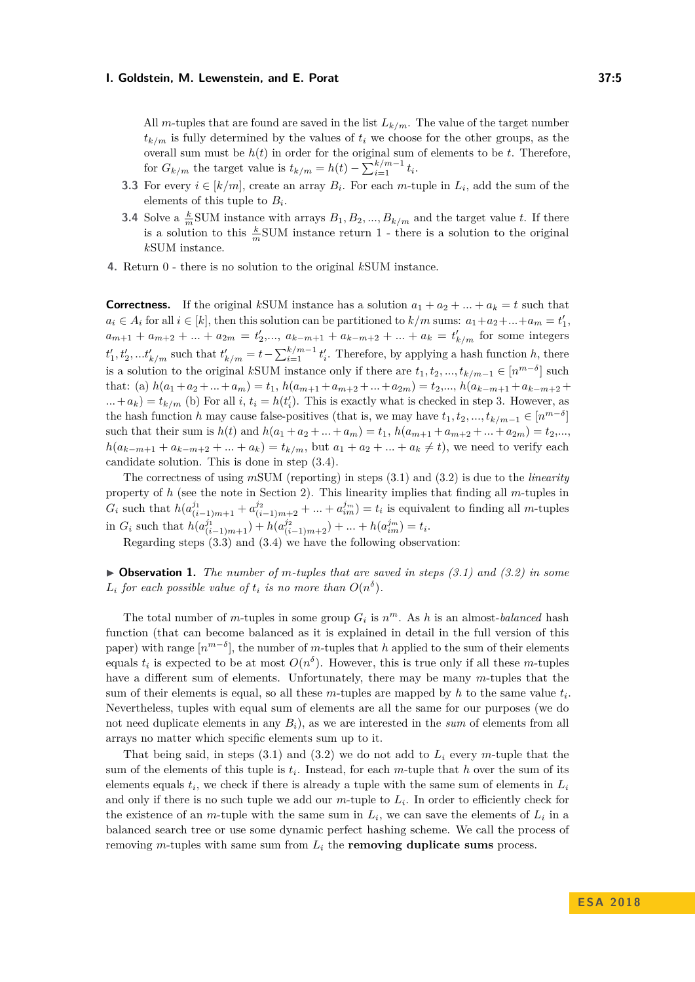All *m*-tuples that are found are saved in the list  $L_{k/m}$ . The value of the target number  $t_{k/m}$  is fully determined by the values of  $t_i$  we choose for the other groups, as the overall sum must be  $h(t)$  in order for the original sum of elements to be  $t$ . Therefore, for  $G_{k/m}$  the target value is  $t_{k/m} = h(t) - \sum_{i=1}^{k/m-1} t_i$ .

- **3.3** For every  $i \in [k/m]$ , create an array  $B_i$ . For each *m*-tuple in  $L_i$ , add the sum of the elements of this tuple to *B<sup>i</sup>* .
- **3.4** Solve a  $\frac{k}{m}$ SUM instance with arrays  $B_1, B_2, ..., B_{k/m}$  and the target value *t*. If there is a solution to this  $\frac{k}{m}$ SUM instance return 1 - there is a solution to the original *k*SUM instance.
- **4.** Return 0 there is no solution to the original *k*SUM instance.

**Correctness.** If the original *kSUM* instance has a solution  $a_1 + a_2 + ... + a_k = t$  such that  $a_i \in A_i$  for all  $i \in [k]$ , then this solution can be partitioned to  $k/m$  sums:  $a_1 + a_2 + ... + a_m = t'_1$ ,  $a_{m+1} + a_{m+2} + ... + a_{2m} = t'_2,..., a_{k-m+1} + a_{k-m+2} + ... + a_k = t'_{k/m}$  for some integers  $t'_{1}, t'_{2}, \ldots t'_{k/m}$  such that  $t'_{k/m} = t - \sum_{i=1}^{k/m-1} t'_{i}$ . Therefore, by applying a hash function *h*, there is a solution to the original *kSUM* instance only if there are  $t_1, t_2, ..., t_{k/m-1} \in [n^{m-\delta}]$  such that: (a)  $h(a_1 + a_2 + ... + a_m) = t_1$ ,  $h(a_{m+1} + a_{m+2} + ... + a_{2m}) = t_2,..., h(a_{k-m+1} + a_{k-m+2} + ... + a_{m+n})$  $\dots + a_k$  =  $t_{k/m}$  (b) For all *i*,  $t_i = h(t'_i)$ . This is exactly what is checked in step 3. However, as the hash function *h* may cause false-positives (that is, we may have  $t_1, t_2, ..., t_{k/m-1} \in [n^{m-\delta}]$ such that their sum is  $h(t)$  and  $h(a_1 + a_2 + ... + a_m) = t_1$ ,  $h(a_{m+1} + a_{m+2} + ... + a_{2m}) = t_2,...$  $h(a_{k-m+1} + a_{k-m+2} + ... + a_k) = t_{k/m}$ , but  $a_1 + a_2 + ... + a_k \neq t$ , we need to verify each candidate solution. This is done in step (3.4).

The correctness of using *m*SUM (reporting) in steps (3.1) and (3.2) is due to the *linearity* property of *h* (see the note in Section [2\)](#page-2-1). This linearity implies that finding all *m*-tuples in  $G_i$  such that  $h(a_{(i-1)m+1}^{j_1} + a_{(i-1)m+2}^{j_2} + ... + a_{im}^{j_m}) = t_i$  is equivalent to finding all m-tuples in  $G_i$  such that  $h(a_{(i-1)m+1}^{j_1}) + h(a_{(i-1)m+2}^{j_2}) + \dots + h(a_{im}^{j_m}) = t_i$ .

Regarding steps (3.3) and (3.4) we have the following observation:

I **Observation 1.** *The number of m-tuples that are saved in steps (3.1) and (3.2) in some*  $L_i$  *for each possible value of*  $t_i$  *is no more than*  $O(n^{\delta})$ *.* 

The total number of *m*-tuples in some group  $G_i$  is  $n^m$ . As *h* is an almost-*balanced* hash function (that can become balanced as it is explained in detail in the full version of this paper) with range  $[n^{m-\delta}]$ , the number of *m*-tuples that *h* applied to the sum of their elements equals  $t_i$  is expected to be at most  $O(n^{\delta})$ . However, this is true only if all these *m*-tuples have a different sum of elements. Unfortunately, there may be many *m*-tuples that the sum of their elements is equal, so all these  $m$ -tuples are mapped by  $h$  to the same value  $t_i$ . Nevertheless, tuples with equal sum of elements are all the same for our purposes (we do not need duplicate elements in any  $B_i$ ), as we are interested in the *sum* of elements from all arrays no matter which specific elements sum up to it.

That being said, in steps (3.1) and (3.2) we do not add to *L<sup>i</sup>* every *m*-tuple that the sum of the elements of this tuple is *t<sup>i</sup>* . Instead, for each *m*-tuple that *h* over the sum of its elements equals  $t_i$ , we check if there is already a tuple with the same sum of elements in  $L_i$ and only if there is no such tuple we add our *m*-tuple to *L<sup>i</sup>* . In order to efficiently check for the existence of an *m*-tuple with the same sum in  $L_i$ , we can save the elements of  $L_i$  in a balanced search tree or use some dynamic perfect hashing scheme. We call the process of removing *m*-tuples with same sum from *L<sup>i</sup>* the **removing duplicate sums** process.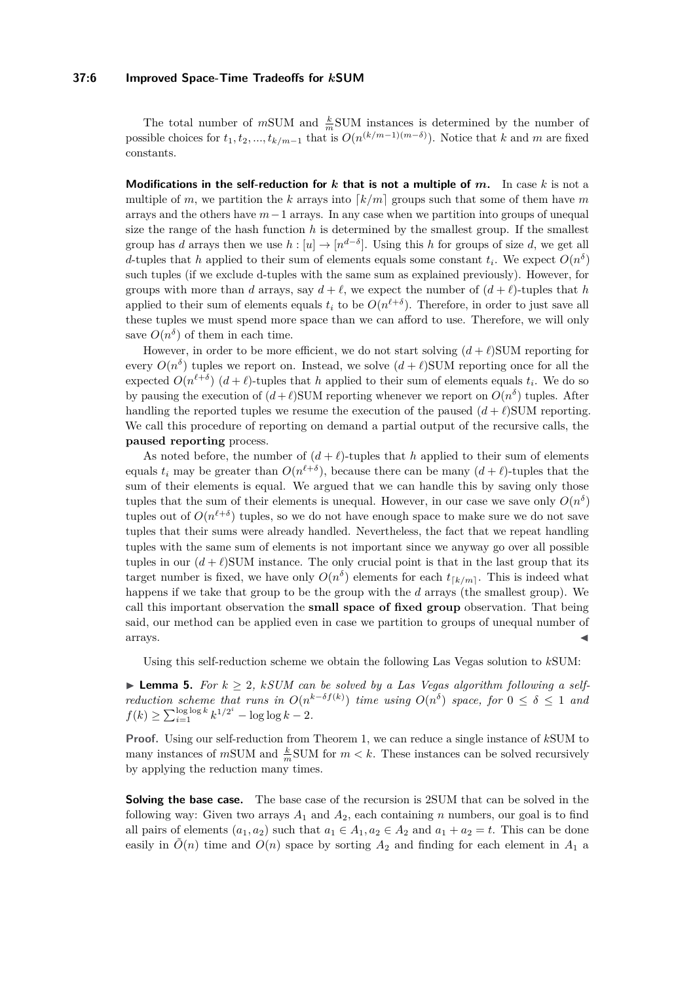### **37:6 Improved Space-Time Tradeoffs for** *k***SUM**

The total number of  $m$ SUM and  $\frac{k}{m}$ SUM instances is determined by the number of possible choices for  $t_1, t_2, ..., t_{k/m-1}$  that is  $O(n^{(k/m-1)(m-\delta)})$ . Notice that *k* and *m* are fixed constants.

**Modifications in the self-reduction for**  $k$  **that is not a multiple of**  $m$ **.** In case  $k$  is not a multiple of *m*, we partition the *k* arrays into  $\lceil k/m \rceil$  groups such that some of them have *m* arrays and the others have *m*−1 arrays. In any case when we partition into groups of unequal size the range of the hash function  $h$  is determined by the smallest group. If the smallest group has *d* arrays then we use  $h : [u] \to [n^{d-\delta}]$ . Using this *h* for groups of size *d*, we get all *d*-tuples that *h* applied to their sum of elements equals some constant  $t_i$ . We expect  $O(n^{\delta})$ such tuples (if we exclude d-tuples with the same sum as explained previously). However, for groups with more than *d* arrays, say  $d + \ell$ , we expect the number of  $(d + \ell)$ -tuples that *h* applied to their sum of elements equals  $t_i$  to be  $O(n^{\ell+\delta})$ . Therefore, in order to just save all these tuples we must spend more space than we can afford to use. Therefore, we will only save  $O(n^{\delta})$  of them in each time.

However, in order to be more efficient, we do not start solving  $(d + \ell)$ SUM reporting for every  $O(n^{\delta})$  tuples we report on. Instead, we solve  $(d+\ell)$ SUM reporting once for all the expected  $O(n^{\ell+\delta})$  ( $d+\ell$ )-tuples that *h* applied to their sum of elements equals  $t_i$ . We do so by pausing the execution of  $(d+\ell)$ SUM reporting whenever we report on  $O(n^{\delta})$  tuples. After handling the reported tuples we resume the execution of the paused  $(d + \ell)$ SUM reporting. We call this procedure of reporting on demand a partial output of the recursive calls, the **paused reporting** process.

As noted before, the number of  $(d + \ell)$ -tuples that *h* applied to their sum of elements equals  $t_i$  may be greater than  $O(n^{\ell+\delta})$ , because there can be many  $(d+\ell)$ -tuples that the sum of their elements is equal. We argued that we can handle this by saving only those tuples that the sum of their elements is unequal. However, in our case we save only  $O(n^{\delta})$ tuples out of  $O(n^{\ell+\delta})$  tuples, so we do not have enough space to make sure we do not save tuples that their sums were already handled. Nevertheless, the fact that we repeat handling tuples with the same sum of elements is not important since we anyway go over all possible tuples in our  $(d+\ell)$ SUM instance. The only crucial point is that in the last group that its target number is fixed, we have only  $O(n^{\delta})$  elements for each  $t_{\lceil k/m \rceil}$ . This is indeed what happens if we take that group to be the group with the *d* arrays (the smallest group). We call this important observation the **small space of fixed group** observation. That being said, our method can be applied even in case we partition to groups of unequal number of  $\blacksquare$  arrays.

Using this self-reduction scheme we obtain the following Las Vegas solution to *k*SUM:

▶ **Lemma 5.** *For*  $k \geq 2$ , *kSUM* can be solved by a Las Vegas algorithm following a self*reduction scheme that runs in*  $O(n^{k-\delta f(k)})$  *time using*  $O(n^{\delta})$  *space, for*  $0 \leq \delta \leq 1$  *and*  $f(k) \ge \sum_{i=1}^{\log \log k} k^{1/2^i} - \log \log k - 2.$ 

**Proof.** Using our self-reduction from Theorem [1,](#page-2-2) we can reduce a single instance of *k*SUM to many instances of  $m$ SUM and  $\frac{k}{m}$ SUM for  $m < k$ . These instances can be solved recursively by applying the reduction many times.

**Solving the base case.** The base case of the recursion is 2SUM that can be solved in the following way: Given two arrays  $A_1$  and  $A_2$ , each containing *n* numbers, our goal is to find all pairs of elements  $(a_1, a_2)$  such that  $a_1 \in A_1, a_2 \in A_2$  and  $a_1 + a_2 = t$ . This can be done easily in  $\tilde{O}(n)$  time and  $O(n)$  space by sorting  $A_2$  and finding for each element in  $A_1$  a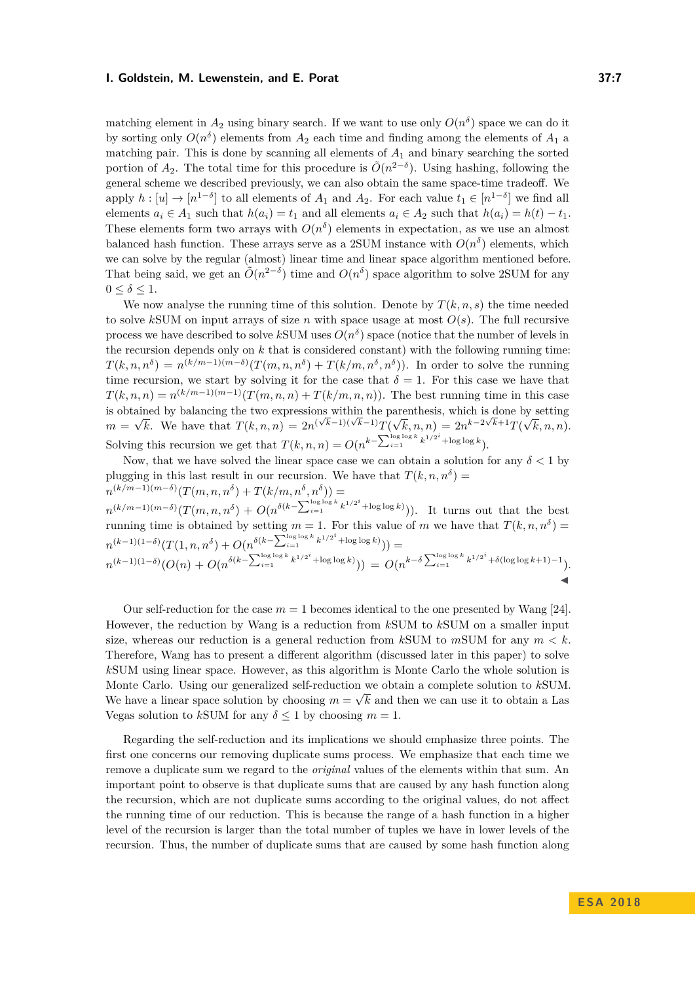matching element in  $A_2$  using binary search. If we want to use only  $O(n^{\delta})$  space we can do it by sorting only  $O(n^{\delta})$  elements from  $A_2$  each time and finding among the elements of  $A_1$  a matching pair. This is done by scanning all elements of  $A_1$  and binary searching the sorted portion of  $A_2$ . The total time for this procedure is  $\tilde{O}(n^{2-\delta})$ . Using hashing, following the general scheme we described previously, we can also obtain the same space-time tradeoff. We apply  $h: [u] \to [n^{1-\delta}]$  to all elements of  $A_1$  and  $A_2$ . For each value  $t_1 \in [n^{1-\delta}]$  we find all elements  $a_i \in A_1$  such that  $h(a_i) = t_1$  and all elements  $a_i \in A_2$  such that  $h(a_i) = h(t) - t_1$ . These elements form two arrays with  $O(n^{\delta})$  elements in expectation, as we use an almost balanced hash function. These arrays serve as a 2SUM instance with  $O(n^{\delta})$  elements, which we can solve by the regular (almost) linear time and linear space algorithm mentioned before. That being said, we get an  $\tilde{O}(n^{2-\delta})$  time and  $O(n^{\delta})$  space algorithm to solve 2SUM for any  $0 \leq \delta \leq 1$ .

We now analyse the running time of this solution. Denote by  $T(k, n, s)$  the time needed to solve *kSUM* on input arrays of size *n* with space usage at most  $O(s)$ . The full recursive process we have described to solve  $k$ SUM uses  $O(n^{\delta})$  space (notice that the number of levels in the recursion depends only on  $k$  that is considered constant) with the following running time:  $T(k, n, n^{\delta}) = n^{(k/m-1)(m-\delta)}(T(m, n, n^{\delta}) + T(k/m, n^{\delta}, n^{\delta}))$ . In order to solve the running time recursion, we start by solving it for the case that  $\delta = 1$ . For this case we have that  $T(k, n, n) = n^{(k/m-1)(m-1)}(T(m, n, n) + T(k/m, n, n))$ . The best running time in this case is obtained by balancing the two expressions within the parenthesis, which is done by setting  $m =$ √  $\overline{k}$ . We have that  $T(k, n, n) = 2n^{(\sqrt{k}-1)(\sqrt{k}-1)}T(\sqrt{k})$  $\overline{k}, n, n) = 2n^{k-2\sqrt{k}+1}T(\sqrt{k})$ *k, n, n*). Solving this recursion we get that  $T(k, n, n) = O(n^{k - \sum_{i=1}^{\log \log k} k^{1/2^i} + \log \log k})$ .

Now, that we have solved the linear space case we can obtain a solution for any  $\delta < 1$  by plugging in this last result in our recursion. We have that  $T(k, n, n^{\delta}) =$  $n^{(k/m-1)(m-\delta)}(T(m, n, n^{\delta}) + T(k/m, n^{\delta}, n^{\delta})) =$ 

 $n^{(k/m-1)(m-\delta)}(T(m,n,n^{\delta})+O(n^{\delta(k-\sum_{i=1}^{\log\log k}k^{1/2^{i}}+\log\log k}))).$  It turns out that the best running time is obtained by setting  $m = 1$ . For this value of  $m$  we have that  $T(k, n, n<sup>\delta</sup>) =$  $n^{(k-1)(1-\delta)}(T(1,n,n^{\delta}) + O(n^{\delta(k-\sum_{i=1}^{\log\log k} k^{1/2^{i}} + \log\log k})))$  $n^{(k-1)(1-\delta)}(O(n) + O(n^{\delta(k-\sum_{i=1}^{\log\log k} k^{1/2^i} + \log\log k)})) = O(n^{k-\delta\sum_{i=1}^{\log\log k} k^{1/2^i} + \delta(\log\log k + 1) - 1}).$  $\blacktriangleleft$ 

Our self-reduction for the case  $m = 1$  becomes identical to the one presented by Wang [\[24\]](#page-13-6). However, the reduction by Wang is a reduction from *k*SUM to *k*SUM on a smaller input size, whereas our reduction is a general reduction from  $k$ SUM to  $m$ SUM for any  $m < k$ . Therefore, Wang has to present a different algorithm (discussed later in this paper) to solve *k*SUM using linear space. However, as this algorithm is Monte Carlo the whole solution is Monte Carlo. Using our generalized self-reduction we obtain a complete solution to *kSUM*. We have a linear space solution by choosing  $m = \sqrt{k}$  and then we can use it to obtain a Las Vegas solution to *k*SUM for any  $\delta$  < 1 by choosing  $m = 1$ .

Regarding the self-reduction and its implications we should emphasize three points. The first one concerns our removing duplicate sums process. We emphasize that each time we remove a duplicate sum we regard to the *original* values of the elements within that sum. An important point to observe is that duplicate sums that are caused by any hash function along the recursion, which are not duplicate sums according to the original values, do not affect the running time of our reduction. This is because the range of a hash function in a higher level of the recursion is larger than the total number of tuples we have in lower levels of the recursion. Thus, the number of duplicate sums that are caused by some hash function along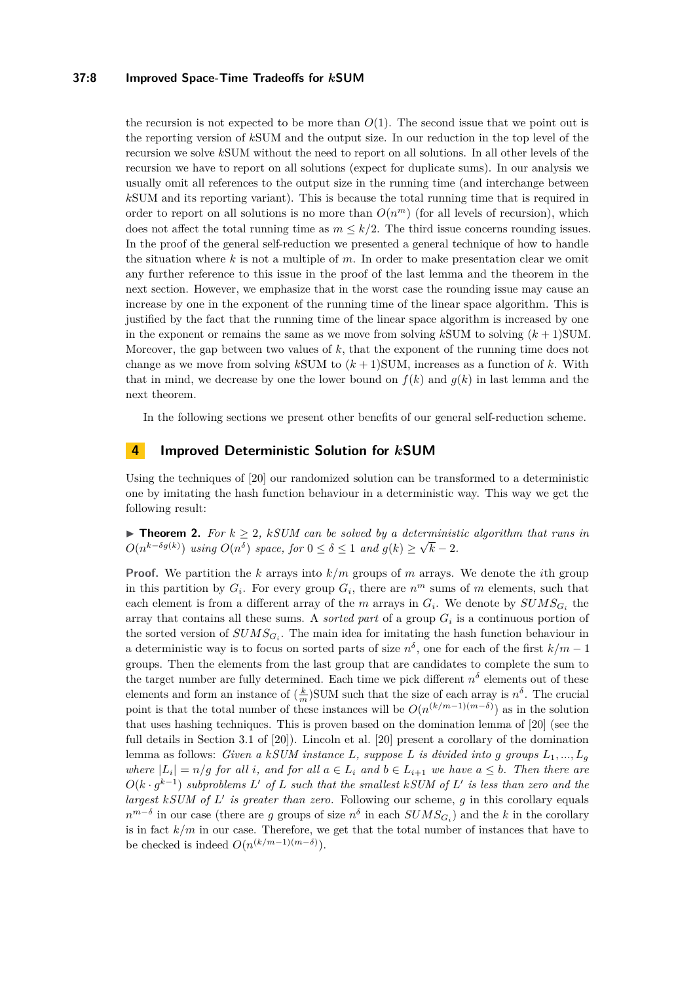### **37:8 Improved Space-Time Tradeoffs for** *k***SUM**

the recursion is not expected to be more than  $O(1)$ . The second issue that we point out is the reporting version of *k*SUM and the output size. In our reduction in the top level of the recursion we solve *k*SUM without the need to report on all solutions. In all other levels of the recursion we have to report on all solutions (expect for duplicate sums). In our analysis we usually omit all references to the output size in the running time (and interchange between *k*SUM and its reporting variant). This is because the total running time that is required in order to report on all solutions is no more than  $O(n^m)$  (for all levels of recursion), which does not affect the total running time as  $m \leq k/2$ . The third issue concerns rounding issues. In the proof of the general self-reduction we presented a general technique of how to handle the situation where *k* is not a multiple of *m*. In order to make presentation clear we omit any further reference to this issue in the proof of the last lemma and the theorem in the next section. However, we emphasize that in the worst case the rounding issue may cause an increase by one in the exponent of the running time of the linear space algorithm. This is justified by the fact that the running time of the linear space algorithm is increased by one in the exponent or remains the same as we move from solving  $k$ SUM to solving  $(k+1)$ SUM. Moreover, the gap between two values of *k*, that the exponent of the running time does not change as we move from solving  $k$ SUM to  $(k + 1)$ SUM, increases as a function of  $k$ . With that in mind, we decrease by one the lower bound on  $f(k)$  and  $g(k)$  in last lemma and the next theorem.

In the following sections we present other benefits of our general self-reduction scheme.

## **4 Improved Deterministic Solution for** *k***SUM**

Using the techniques of [\[20\]](#page-13-7) our randomized solution can be transformed to a deterministic one by imitating the hash function behaviour in a deterministic way. This way we get the following result:

**► Theorem 2.** *For*  $k \geq 2$ , *kSUM* can be solved by a deterministic algorithm that runs in  $O(n^{k-\delta g(k)})$  *using*  $O(n^{\delta})$  *space, for*  $0 \leq \delta \leq 1$  *and*  $g(k) \geq \sqrt{k} - 2$ *.* 

**Proof.** We partition the *k* arrays into *k/m* groups of *m* arrays. We denote the *i*th group in this partition by  $G_i$ . For every group  $G_i$ , there are  $n^m$  sums of m elements, such that each element is from a different array of the *m* arrays in  $G_i$ . We denote by  $SUMS_{G_i}$  the array that contains all these sums. A *sorted part* of a group *G<sup>i</sup>* is a continuous portion of the sorted version of  $SUMS_{G_i}$ . The main idea for imitating the hash function behaviour in a deterministic way is to focus on sorted parts of size  $n^{\delta}$ , one for each of the first  $k/m - 1$ groups. Then the elements from the last group that are candidates to complete the sum to the target number are fully determined. Each time we pick different  $n^{\delta}$  elements out of these elements and form an instance of  $(\frac{k}{m})$ SUM such that the size of each array is  $n^{\delta}$ . The crucial point is that the total number of these instances will be  $O(n^{(k/m-1)(m-\delta)})$  as in the solution that uses hashing techniques. This is proven based on the domination lemma of [\[20\]](#page-13-7) (see the full details in Section 3.1 of [\[20\]](#page-13-7)). Lincoln et al. [\[20\]](#page-13-7) present a corollary of the domination lemma as follows: *Given a kSUM instance*  $L$ *, suppose*  $L$  *is divided into g groups*  $L_1, ..., L_g$ *where*  $|L_i| = n/g$  *for all i*, and *for all*  $a \in L_i$  *and*  $b \in L_{i+1}$  *we have*  $a \leq b$ *. Then there are*  $O(k \cdot g^{k-1})$  *subproblems*  $L'$  *of*  $L$  *such that the smallest*  $kSUM$  *of*  $L'$  *is less than zero and the* largest kSUM of L' is greater than zero. Following our scheme, g in this corollary equals  $n^{m-\delta}$  in our case (there are *g* groups of size  $n^{\delta}$  in each  $SUMS_{G_i}$ ) and the *k* in the corollary is in fact  $k/m$  in our case. Therefore, we get that the total number of instances that have to be checked is indeed  $O(n^{(k/m-1)(m-\delta)})$ .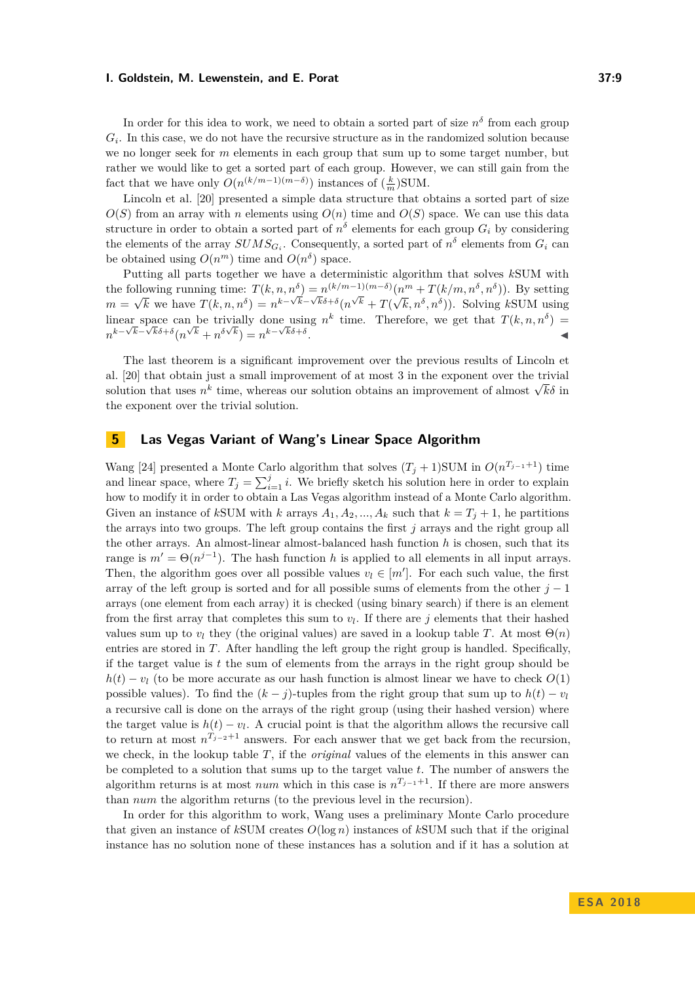In order for this idea to work, we need to obtain a sorted part of size  $n^{\delta}$  from each group  $G_i$ . In this case, we do not have the recursive structure as in the randomized solution because we no longer seek for *m* elements in each group that sum up to some target number, but rather we would like to get a sorted part of each group. However, we can still gain from the fact that we have only  $O(n^{(k/m-1)(m-\delta)})$  instances of  $(\frac{k}{m})$ SUM.

Lincoln et al. [\[20\]](#page-13-7) presented a simple data structure that obtains a sorted part of size  $O(S)$  from an array with *n* elements using  $O(n)$  time and  $O(S)$  space. We can use this data structure in order to obtain a sorted part of  $n^{\delta}$  elements for each group  $G_i$  by considering the elements of the array  $SUMS_{G_i}$ . Consequently, a sorted part of  $n^{\delta}$  elements from  $G_i$  can be obtained using  $O(n^m)$  time and  $O(n^{\delta})$  space.

Putting all parts together we have a deterministic algorithm that solves *k*SUM with the following running time:  $T(k, n, n^{\delta}) = n^{(k/m-1)(m-\delta)}(n^m + T(k/m, n^{\delta}, n^{\delta}))$ . By setting  $m = \sqrt{k}$  we have  $T(k, n, n^{\delta}) = n^{k-\sqrt{k-\delta}} \{n^{\sqrt{k}} + T(\sqrt{k}, n^{\delta}, n^{\delta})\}$ . Solving *kSUM* using linear space can be trivially done using  $n^k$  time. Therefore, we get that  $T(k, n, n^{\delta}) =$  $n^k - \sqrt{k} - \sqrt{k} \delta + \delta(n^{\sqrt{k}} + n^{\delta\sqrt{k}}) = n^{k - \sqrt{k} \delta + \delta}$ .

The last theorem is a significant improvement over the previous results of Lincoln et al. [\[20\]](#page-13-7) that obtain just a small improvement of at most 3 in the exponent over the trivial at. [20] that obtain just a small improvement of at most 5 in the exponent over the trivial<br>solution that uses  $n^k$  time, whereas our solution obtains an improvement of almost  $\sqrt{k}\delta$  in the exponent over the trivial solution.

## <span id="page-8-0"></span>**5 Las Vegas Variant of Wang's Linear Space Algorithm**

Wang [\[24\]](#page-13-6) presented a Monte Carlo algorithm that solves  $(T_j + 1)$ SUM in  $O(n^{T_{j-1}+1})$  time and linear space, where  $T_j = \sum_{i=1}^j i$ . We briefly sketch his solution here in order to explain how to modify it in order to obtain a Las Vegas algorithm instead of a Monte Carlo algorithm. Given an instance of *k*SUM with *k* arrays  $A_1, A_2, ..., A_k$  such that  $k = T_j + 1$ , he partitions the arrays into two groups. The left group contains the first *j* arrays and the right group all the other arrays. An almost-linear almost-balanced hash function *h* is chosen, such that its range is  $m' = \Theta(n^{j-1})$ . The hash function *h* is applied to all elements in all input arrays. Then, the algorithm goes over all possible values  $v_l \in [m']$ . For each such value, the first array of the left group is sorted and for all possible sums of elements from the other  $j-1$ arrays (one element from each array) it is checked (using binary search) if there is an element from the first array that completes this sum to  $v_l$ . If there are  $j$  elements that their hashed values sum up to  $v_l$  they (the original values) are saved in a lookup table *T*. At most  $\Theta(n)$ entries are stored in *T*. After handling the left group the right group is handled. Specifically, if the target value is *t* the sum of elements from the arrays in the right group should be  $h(t) - v_l$  (to be more accurate as our hash function is almost linear we have to check  $O(1)$ ) possible values). To find the  $(k - j)$ -tuples from the right group that sum up to  $h(t) - v_l$ a recursive call is done on the arrays of the right group (using their hashed version) where the target value is  $h(t) - v_l$ . A crucial point is that the algorithm allows the recursive call to return at most  $n^{T_{j-2}+1}$  answers. For each answer that we get back from the recursion, we check, in the lookup table *T*, if the *original* values of the elements in this answer can be completed to a solution that sums up to the target value *t*. The number of answers the algorithm returns is at most *num* which in this case is  $n^{T_{j-1}+1}$ . If there are more answers than *num* the algorithm returns (to the previous level in the recursion).

In order for this algorithm to work, Wang uses a preliminary Monte Carlo procedure that given an instance of *k*SUM creates *O*(log *n*) instances of *k*SUM such that if the original instance has no solution none of these instances has a solution and if it has a solution at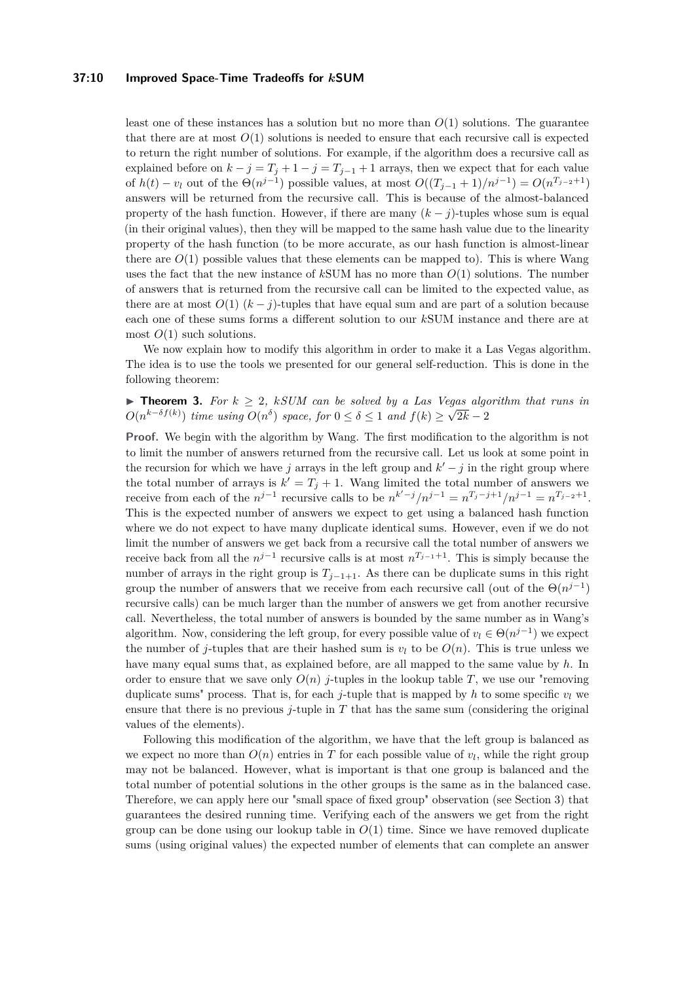#### **37:10 Improved Space-Time Tradeoffs for** *k***SUM**

least one of these instances has a solution but no more than *O*(1) solutions. The guarantee that there are at most  $O(1)$  solutions is needed to ensure that each recursive call is expected to return the right number of solutions. For example, if the algorithm does a recursive call as explained before on  $k - j = T_j + 1 - j = T_{j-1} + 1$  arrays, then we expect that for each value of  $h(t) - v_l$  out of the  $\Theta(n^{j-1})$  possible values, at most  $O((T_{j-1} + 1)/n^{j-1}) = O(n^{T_{j-2}+1})$ answers will be returned from the recursive call. This is because of the almost-balanced property of the hash function. However, if there are many  $(k - j)$ -tuples whose sum is equal (in their original values), then they will be mapped to the same hash value due to the linearity property of the hash function (to be more accurate, as our hash function is almost-linear there are  $O(1)$  possible values that these elements can be mapped to). This is where Wang uses the fact that the new instance of *k*SUM has no more than *O*(1) solutions. The number of answers that is returned from the recursive call can be limited to the expected value, as there are at most  $O(1)$  ( $k - j$ )-tuples that have equal sum and are part of a solution because each one of these sums forms a different solution to our *k*SUM instance and there are at most  $O(1)$  such solutions.

We now explain how to modify this algorithm in order to make it a Las Vegas algorithm. The idea is to use the tools we presented for our general self-reduction. This is done in the following theorem:

**► Theorem 3.** For  $k \geq 2$ , *kSUM* can be solved by a Las Vegas algorithm that runs in  $O(n^{k-\delta f(k)})$  *time using*  $O(n^{\delta})$  *space, for*  $0 \leq \delta \leq 1$  *and*  $f(k) \geq \sqrt{2k-2}$ 

**Proof.** We begin with the algorithm by Wang. The first modification to the algorithm is not to limit the number of answers returned from the recursive call. Let us look at some point in the recursion for which we have *j* arrays in the left group and  $k' - j$  in the right group where the total number of arrays is  $k' = T_j + 1$ . Wang limited the total number of answers we receive from each of the  $n^{j-1}$  recursive calls to be  $n^{k'-j}/n^{j-1} = n^{T_j-j+1}/n^{j-1} = n^{T_{j-2}+1}$ . This is the expected number of answers we expect to get using a balanced hash function where we do not expect to have many duplicate identical sums. However, even if we do not limit the number of answers we get back from a recursive call the total number of answers we receive back from all the  $n^{j-1}$  recursive calls is at most  $n^{T_{j-1}+1}$ . This is simply because the number of arrays in the right group is  $T_{j-1+1}$ . As there can be duplicate sums in this right group the number of answers that we receive from each recursive call (out of the  $\Theta(n^{j-1})$ recursive calls) can be much larger than the number of answers we get from another recursive call. Nevertheless, the total number of answers is bounded by the same number as in Wang's algorithm. Now, considering the left group, for every possible value of  $v_l \in \Theta(n^{j-1})$  we expect the number of *j*-tuples that are their hashed sum is  $v_l$  to be  $O(n)$ . This is true unless we have many equal sums that, as explained before, are all mapped to the same value by *h*. In order to ensure that we save only  $O(n)$  *j*-tuples in the lookup table *T*, we use our "removing" duplicate sums" process. That is, for each  $j$ -tuple that is mapped by  $h$  to some specific  $v_l$  we ensure that there is no previous *j*-tuple in  $T$  that has the same sum (considering the original values of the elements).

Following this modification of the algorithm, we have that the left group is balanced as we expect no more than  $O(n)$  entries in  $T$  for each possible value of  $v_l$ , while the right group may not be balanced. However, what is important is that one group is balanced and the total number of potential solutions in the other groups is the same as in the balanced case. Therefore, we can apply here our "small space of fixed group" observation (see Section [3\)](#page-3-0) that guarantees the desired running time. Verifying each of the answers we get from the right group can be done using our lookup table in  $O(1)$  time. Since we have removed duplicate sums (using original values) the expected number of elements that can complete an answer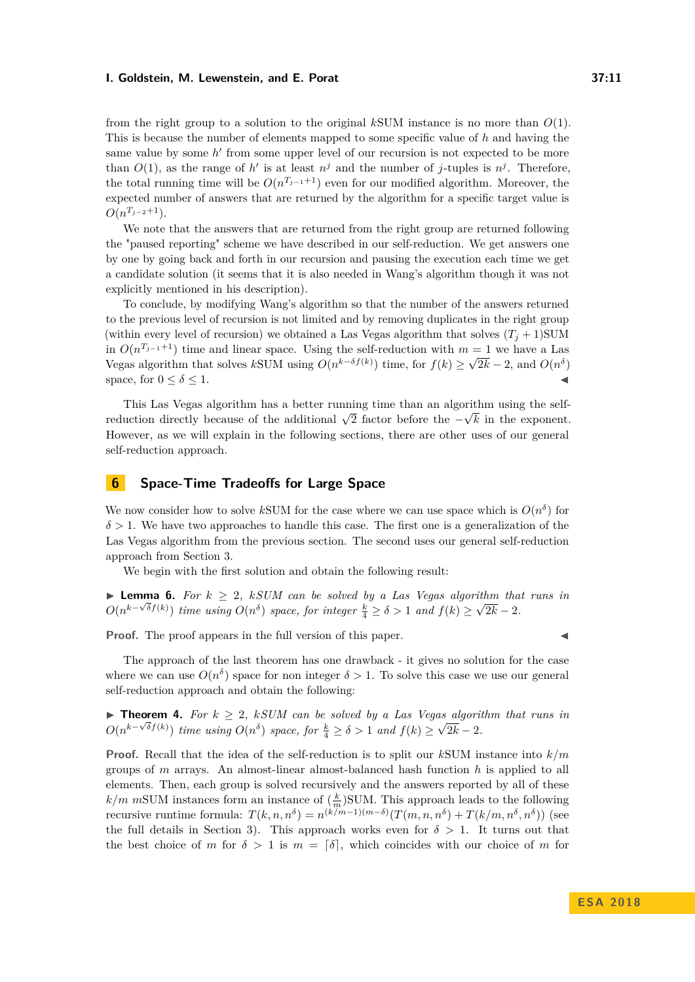from the right group to a solution to the original *k*SUM instance is no more than *O*(1). This is because the number of elements mapped to some specific value of *h* and having the same value by some *h'* from some upper level of our recursion is not expected to be more than  $O(1)$ , as the range of *h*' is at least  $n<sup>j</sup>$  and the number of *j*-tuples is  $n<sup>j</sup>$ . Therefore, the total running time will be  $O(n^{T_{j-1}+1})$  even for our modified algorithm. Moreover, the expected number of answers that are returned by the algorithm for a specific target value is  $O(n^{T_{j-2}+1}).$ 

We note that the answers that are returned from the right group are returned following the "paused reporting" scheme we have described in our self-reduction. We get answers one by one by going back and forth in our recursion and pausing the execution each time we get a candidate solution (it seems that it is also needed in Wang's algorithm though it was not explicitly mentioned in his description).

To conclude, by modifying Wang's algorithm so that the number of the answers returned to the previous level of recursion is not limited and by removing duplicates in the right group (within every level of recursion) we obtained a Las Vegas algorithm that solves  $(T_i + 1)$ SUM in  $O(n^{T_{j-1}+1})$  time and linear space. Using the self-reduction with  $m=1$  we have a Las Vegas algorithm that solves *k*SUM using  $O(n^{k-\delta f(k)})$  time, for  $f(k) \ge \sqrt{2k} - 2$ , and  $O(n^{\delta})$ space, for  $0 \leq \delta \leq 1$ .

This Las Vegas algorithm has a better running time than an algorithm using the selfrins Las vegas algorithm has a better running time than an algorithm using the sentential reduction directly because of the additional  $\sqrt{2}$  factor before the  $-\sqrt{k}$  in the exponent. However, as we will explain in the following sections, there are other uses of our general self-reduction approach.

# **6 Space-Time Tradeoffs for Large Space**

We now consider how to solve kSUM for the case where we can use space which is  $O(n^{\delta})$  for *δ >* 1. We have two approaches to handle this case. The first one is a generalization of the Las Vegas algorithm from the previous section. The second uses our general self-reduction approach from Section [3.](#page-3-0)

We begin with the first solution and obtain the following result:

**► Lemma 6.** For  $k \geq 2$ ,  $kSUM$  can be solved by a Las Vegas algorithm that runs in  $O(n^{k-\sqrt{\delta}f(k)})$  *time using*  $O(n^{\delta})$  *space, for integer*  $\frac{k}{4} \ge \delta > 1$  *and*  $f(k) \ge \sqrt{2k} - 2$ *.* 

**Proof.** The proof appears in the full version of this paper.

The approach of the last theorem has one drawback - it gives no solution for the case where we can use  $O(n^{\delta})$  space for non integer  $\delta > 1$ . To solve this case we use our general self-reduction approach and obtain the following:

**► Theorem 4.** For  $k \geq 2$ , *kSUM* can be solved by a Las Vegas algorithm that runs in  $O(n^{k-\sqrt{\delta}f(k)})$  *time using*  $O(n^{\delta})$  *space, for*  $\frac{k}{4} \geq \delta > 1$  *and*  $f(k) \geq \sqrt{2k} - 2$ *.* 

**Proof.** Recall that the idea of the self-reduction is to split our *k*SUM instance into *k/m* groups of *m* arrays. An almost-linear almost-balanced hash function *h* is applied to all elements. Then, each group is solved recursively and the answers reported by all of these  $k/m$  mSUM instances form an instance of  $\left(\frac{k}{m}\right)$ SUM. This approach leads to the following recursive runtime formula:  $T(k, n, n^{\delta}) = n^{(k/m-1)(m-\delta)}(T(m, n, n^{\delta}) + T(k/m, n^{\delta}, n^{\delta}))$  (see the full details in Section [3\)](#page-3-0). This approach works even for  $\delta > 1$ . It turns out that the best choice of *m* for  $\delta > 1$  is  $m = \lceil \delta \rceil$ , which coincides with our choice of *m* for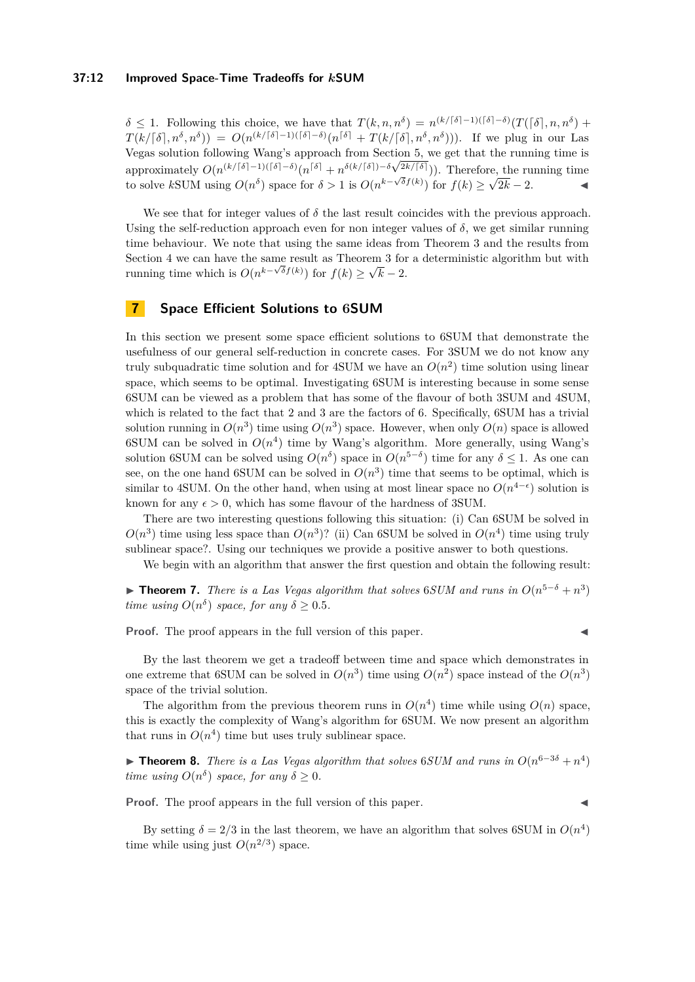#### **37:12 Improved Space-Time Tradeoffs for** *k***SUM**

 $\delta \leq 1$ . Following this choice, we have that  $T(k, n, n^{\delta}) = n^{(k/\lceil \delta \rceil - 1)(\lceil \delta \rceil - \delta)} (T(\lceil \delta \rceil, n, n^{\delta}) +$  $T(k/[\delta], n^{\delta}, n^{\delta})) = O(n^{(k/[\delta]-1)(\lceil \delta \rceil - \delta)}(n^{\lceil \delta \rceil} + T(k/[\delta], n^{\delta}, n^{\delta}))).$  If we plug in our Las Vegas solution following Wang's approach from Section  $5$ , we get that the running time is approximately  $O(n^{(k/\lceil \delta \rceil - 1)(\lceil \delta \rceil - \delta)} (n^{\lceil \delta \rceil} + n^{\delta(k/\lceil \delta \rceil})^{-\delta} \sqrt{2k/\lceil \delta \rceil})$ ). Therefore, the running time to solve *k*SUM using  $O(n^{\delta})$  space for  $\delta > 1$  is  $O(n^{k-\sqrt{\delta}f(k)})$  for  $f(k) \ge \sqrt{2k-2}$ .

We see that for integer values of  $\delta$  the last result coincides with the previous approach. Using the self-reduction approach even for non integer values of  $\delta$ , we get similar running time behaviour. We note that using the same ideas from Theorem 3 and the results from Section 4 we can have the same result as Theorem 3 for a deterministic algorithm but with running time which is  $O(n^{k-\sqrt{\delta}f(k)})$  for  $f(k) \geq \sqrt{k-2}$ .

## **7 Space Efficient Solutions to 6SUM**

In this section we present some space efficient solutions to 6SUM that demonstrate the usefulness of our general self-reduction in concrete cases. For 3SUM we do not know any truly subquadratic time solution and for 4SUM we have an  $O(n^2)$  time solution using linear space, which seems to be optimal. Investigating 6SUM is interesting because in some sense 6SUM can be viewed as a problem that has some of the flavour of both 3SUM and 4SUM, which is related to the fact that 2 and 3 are the factors of 6. Specifically, 6SUM has a trivial solution running in  $O(n^3)$  time using  $O(n^3)$  space. However, when only  $O(n)$  space is allowed 6SUM can be solved in  $O(n^4)$  time by Wang's algorithm. More generally, using Wang's solution 6SUM can be solved using  $O(n^{\delta})$  space in  $O(n^{5-\delta})$  time for any  $\delta \leq 1$ . As one can see, on the one hand 6SUM can be solved in  $O(n^3)$  time that seems to be optimal, which is similar to 4SUM. On the other hand, when using at most linear space no  $O(n^{4-\epsilon})$  solution is known for any  $\epsilon > 0$ , which has some flavour of the hardness of 3SUM.

There are two interesting questions following this situation: (i) Can 6SUM be solved in  $O(n^3)$  time using less space than  $O(n^3)$ ? (ii) Can 6SUM be solved in  $O(n^4)$  time using truly sublinear space?. Using our techniques we provide a positive answer to both questions.

We begin with an algorithm that answer the first question and obtain the following result:

**► Theorem 7.** *There is a Las Vegas algorithm that solves* 6*SUM and runs in*  $O(n^{5-\delta} + n^3)$ *time using*  $O(n^{\delta})$  *space, for any*  $\delta \geq 0.5$ *.* 

**Proof.** The proof appears in the full version of this paper.

By the last theorem we get a tradeoff between time and space which demonstrates in one extreme that 6SUM can be solved in  $O(n^3)$  time using  $O(n^2)$  space instead of the  $O(n^3)$ space of the trivial solution.

The algorithm from the previous theorem runs in  $O(n^4)$  time while using  $O(n)$  space, this is exactly the complexity of Wang's algorithm for 6SUM. We now present an algorithm that runs in  $O(n^4)$  time but uses truly sublinear space.

**► Theorem 8.** *There is a Las Vegas algorithm that solves* 6*SUM and runs in*  $O(n^{6-3\delta} + n^4)$ *time using*  $O(n^{\delta})$  *space, for any*  $\delta \geq 0$ *.* 

**Proof.** The proof appears in the full version of this paper.

By setting  $\delta = 2/3$  in the last theorem, we have an algorithm that solves 6SUM in  $O(n^4)$ time while using just  $O(n^{2/3})$  space.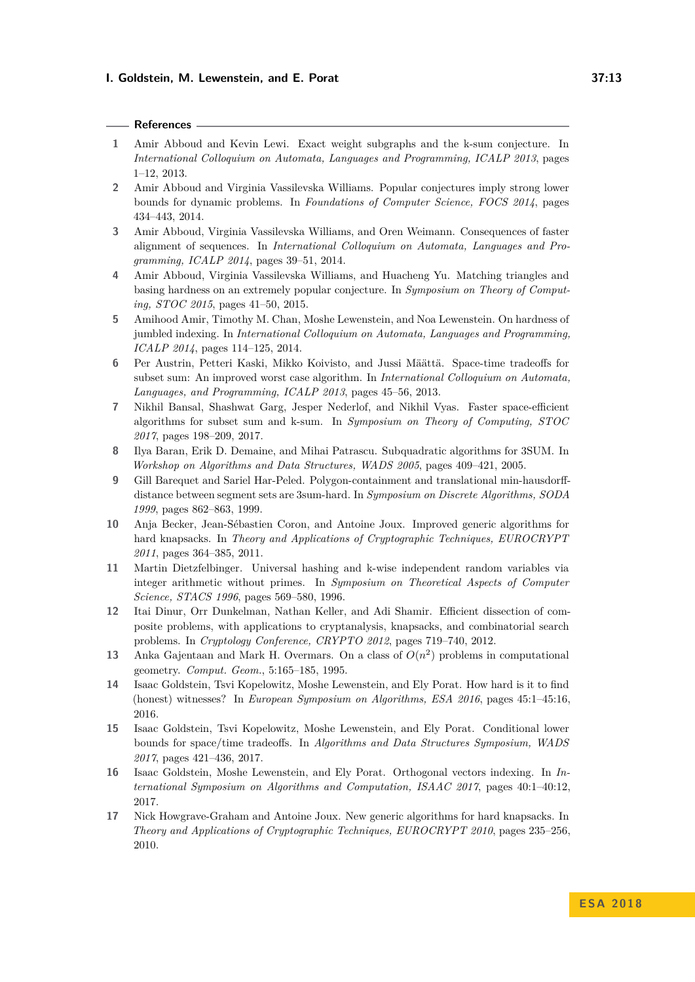#### **References**

- <span id="page-12-6"></span>**1** Amir Abboud and Kevin Lewi. Exact weight subgraphs and the k-sum conjecture. In *International Colloquium on Automata, Languages and Programming, ICALP 2013*, pages 1–12, 2013.
- <span id="page-12-3"></span>**2** Amir Abboud and Virginia Vassilevska Williams. Popular conjectures imply strong lower bounds for dynamic problems. In *Foundations of Computer Science, FOCS 2014*, pages 434–443, 2014.
- <span id="page-12-0"></span>**3** Amir Abboud, Virginia Vassilevska Williams, and Oren Weimann. Consequences of faster alignment of sequences. In *International Colloquium on Automata, Languages and Programming, ICALP 2014*, pages 39–51, 2014.
- <span id="page-12-7"></span>**4** Amir Abboud, Virginia Vassilevska Williams, and Huacheng Yu. Matching triangles and basing hardness on an extremely popular conjecture. In *Symposium on Theory of Computing, STOC 2015*, pages 41–50, 2015.
- <span id="page-12-1"></span>**5** Amihood Amir, Timothy M. Chan, Moshe Lewenstein, and Noa Lewenstein. On hardness of jumbled indexing. In *International Colloquium on Automata, Languages and Programming, ICALP 2014*, pages 114–125, 2014.
- <span id="page-12-11"></span>**6** Per Austrin, Petteri Kaski, Mikko Koivisto, and Jussi Määttä. Space-time tradeoffs for subset sum: An improved worst case algorithm. In *International Colloquium on Automata, Languages, and Programming, ICALP 2013*, pages 45–56, 2013.
- <span id="page-12-12"></span>**7** Nikhil Bansal, Shashwat Garg, Jesper Nederlof, and Nikhil Vyas. Faster space-efficient algorithms for subset sum and k-sum. In *Symposium on Theory of Computing, STOC 2017*, pages 198–209, 2017.
- <span id="page-12-15"></span>**8** Ilya Baran, Erik D. Demaine, and Mihai Patrascu. Subquadratic algorithms for 3SUM. In *Workshop on Algorithms and Data Structures, WADS 2005*, pages 409–421, 2005.
- <span id="page-12-4"></span>**9** Gill Barequet and Sariel Har-Peled. Polygon-containment and translational min-hausdorffdistance between segment sets are 3sum-hard. In *Symposium on Discrete Algorithms, SODA 1999*, pages 862–863, 1999.
- <span id="page-12-9"></span>**10** Anja Becker, Jean-Sébastien Coron, and Antoine Joux. Improved generic algorithms for hard knapsacks. In *Theory and Applications of Cryptographic Techniques, EUROCRYPT 2011*, pages 364–385, 2011.
- <span id="page-12-16"></span>**11** Martin Dietzfelbinger. Universal hashing and k-wise independent random variables via integer arithmetic without primes. In *Symposium on Theoretical Aspects of Computer Science, STACS 1996*, pages 569–580, 1996.
- <span id="page-12-10"></span>**12** Itai Dinur, Orr Dunkelman, Nathan Keller, and Adi Shamir. Efficient dissection of composite problems, with applications to cryptanalysis, knapsacks, and combinatorial search problems. In *Cryptology Conference, CRYPTO 2012*, pages 719–740, 2012.
- <span id="page-12-5"></span>**13** Anka Gajentaan and Mark H. Overmars. On a class of  $O(n^2)$  problems in computational geometry. *Comput. Geom.*, 5:165–185, 1995.
- <span id="page-12-2"></span>**14** Isaac Goldstein, Tsvi Kopelowitz, Moshe Lewenstein, and Ely Porat. How hard is it to find (honest) witnesses? In *European Symposium on Algorithms, ESA 2016*, pages 45:1–45:16, 2016.
- <span id="page-12-13"></span>**15** Isaac Goldstein, Tsvi Kopelowitz, Moshe Lewenstein, and Ely Porat. Conditional lower bounds for space/time tradeoffs. In *Algorithms and Data Structures Symposium, WADS 2017*, pages 421–436, 2017.
- <span id="page-12-14"></span>**16** Isaac Goldstein, Moshe Lewenstein, and Ely Porat. Orthogonal vectors indexing. In *International Symposium on Algorithms and Computation, ISAAC 2017*, pages 40:1–40:12, 2017.
- <span id="page-12-8"></span>**17** Nick Howgrave-Graham and Antoine Joux. New generic algorithms for hard knapsacks. In *Theory and Applications of Cryptographic Techniques, EUROCRYPT 2010*, pages 235–256, 2010.